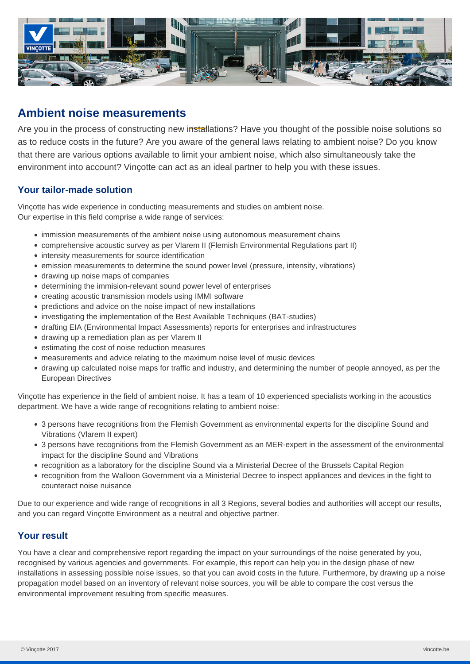

# **Ambient noise measurements**

Are you in the process of constructing new installations? Have you thought of the possible noise solutions so as to reduce costs in the future? Are you aware of the general laws relating to ambient noise? Do you know that there are various options available to limit your ambient noise, which also simultaneously take the environment into account? Vinçotte can act as an ideal partner to help you with these issues.

## **Your tailor-made solution**

Vinçotte has wide experience in conducting measurements and studies on ambient noise. Our expertise in this field comprise a wide range of services:

- immission measurements of the ambient noise using autonomous measurement chains
- comprehensive acoustic survey as per Vlarem II (Flemish Environmental Regulations part II)
- intensity measurements for source identification
- emission measurements to determine the sound power level (pressure, intensity, vibrations)
- drawing up noise maps of companies
- determining the immision-relevant sound power level of enterprises
- creating acoustic transmission models using IMMI software
- predictions and advice on the noise impact of new installations
- investigating the implementation of the Best Available Techniques (BAT-studies)
- drafting EIA (Environmental Impact Assessments) reports for enterprises and infrastructures
- drawing up a remediation plan as per Vlarem II
- estimating the cost of noise reduction measures
- measurements and advice relating to the maximum noise level of music devices
- drawing up calculated noise maps for traffic and industry, and determining the number of people annoyed, as per the European Directives

Vinçotte has experience in the field of ambient noise. It has a team of 10 experienced specialists working in the acoustics department. We have a wide range of recognitions relating to ambient noise:

- 3 persons have recognitions from the Flemish Government as environmental experts for the discipline Sound and Vibrations (Vlarem II expert)
- 3 persons have recognitions from the Flemish Government as an MER-expert in the assessment of the environmental impact for the discipline Sound and Vibrations
- recognition as a laboratory for the discipline Sound via a Ministerial Decree of the Brussels Capital Region
- recognition from the Walloon Government via a Ministerial Decree to inspect appliances and devices in the fight to counteract noise nuisance

Due to our experience and wide range of recognitions in all 3 Regions, several bodies and authorities will accept our results, and you can regard Vinçotte Environment as a neutral and objective partner.

### **Your result**

You have a clear and comprehensive report regarding the impact on your surroundings of the noise generated by you, recognised by various agencies and governments. For example, this report can help you in the design phase of new installations in assessing possible noise issues, so that you can avoid costs in the future. Furthermore, by drawing up a noise propagation model based on an inventory of relevant noise sources, you will be able to compare the cost versus the environmental improvement resulting from specific measures.